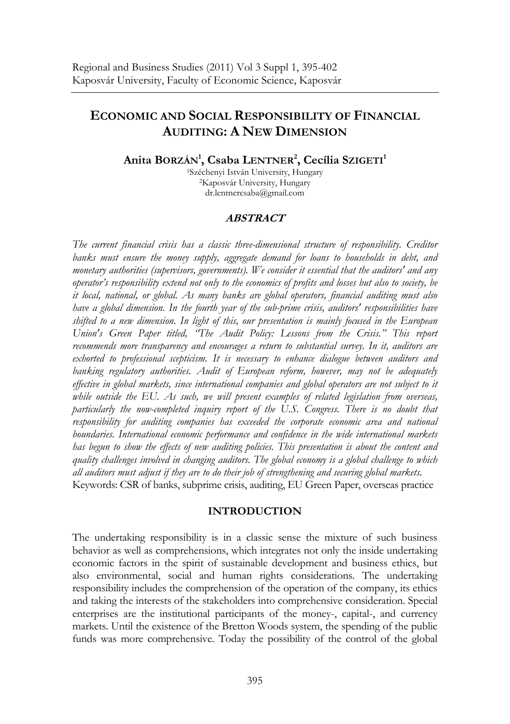# **ECONOMIC AND SOCIAL RESPONSIBILITY OF FINANCIAL AUDITING: A NEW DIMENSION**

## **Anita BORZÁN1 , Csaba LENTNER2 , Cecília SZIGETI1**

1Széchenyi István University, Hungary 2Kaposvár University, Hungary dr.lentnercsaba@gmail.com

### **ABSTRACT**

*The current financial crisis has a classic three-dimensional structure of responsibility. Creditor banks must ensure the money supply, aggregate demand for loans to households in debt, and monetary authorities (supervisors, governments). We consider it essential that the auditors' and any operator's responsibility extend not only to the economics of profits and losses but also to society, be it local, national, or global. As many banks are global operators, financial auditing must also have a global dimension. In the fourth year of the sub-prime crisis, auditors' responsibilities have shifted to a new dimension. In light of this, our presentation is mainly focused in the European Union's Green Paper titled, "The Audit Policy: Lessons from the Crisis." This report recommends more transparency and encourages a return to substantial survey. In it, auditors are*  exhorted to professional scepticism. It is necessary to enhance dialogue between auditors and banking regulatory authorities. Audit of European reform, however, may not be adequately *effective in global markets, since international companies and global operators are not subject to it while outside the EU. As such, we will present examples of related legislation from overseas, particularly the now-completed inquiry report of the U.S. Congress. There is no doubt that responsibility for auditing companies has exceeded the corporate economic area and national boundaries. International economic performance and confidence in the wide international markets has begun to show the effects of new auditing policies. This presentation is about the content and quality challenges involved in changing auditors. The global economy is a global challenge to which all auditors must adjust if they are to do their job of strengthening and securing global markets.*  Keywords: CSR of banks, subprime crisis, auditing, EU Green Paper, overseas practice

### **INTRODUCTION**

The undertaking responsibility is in a classic sense the mixture of such business behavior as well as comprehensions, which integrates not only the inside undertaking economic factors in the spirit of sustainable development and business ethics, but also environmental, social and human rights considerations. The undertaking responsibility includes the comprehension of the operation of the company, its ethics and taking the interests of the stakeholders into comprehensive consideration. Special enterprises are the institutional participants of the money-, capital-, and currency markets. Until the existence of the Bretton Woods system, the spending of the public funds was more comprehensive. Today the possibility of the control of the global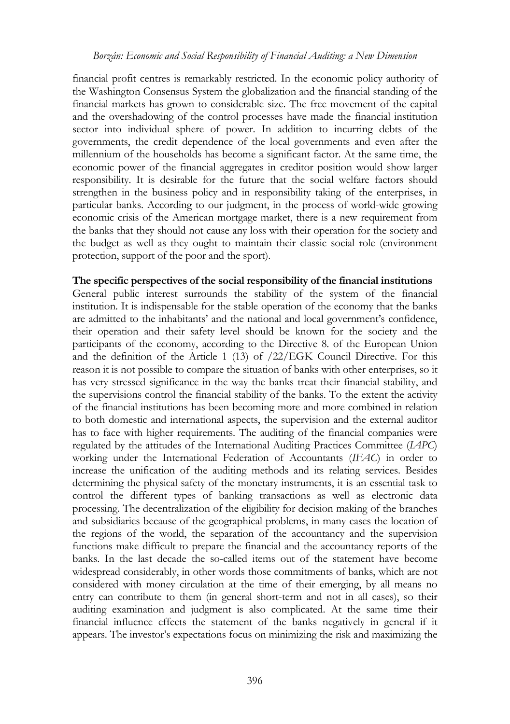financial profit centres is remarkably restricted. In the economic policy authority of the Washington Consensus System the globalization and the financial standing of the financial markets has grown to considerable size. The free movement of the capital and the overshadowing of the control processes have made the financial institution sector into individual sphere of power. In addition to incurring debts of the governments, the credit dependence of the local governments and even after the millennium of the households has become a significant factor. At the same time, the economic power of the financial aggregates in creditor position would show larger responsibility. It is desirable for the future that the social welfare factors should strengthen in the business policy and in responsibility taking of the enterprises, in particular banks. According to our judgment, in the process of world-wide growing economic crisis of the American mortgage market, there is a new requirement from the banks that they should not cause any loss with their operation for the society and the budget as well as they ought to maintain their classic social role (environment protection, support of the poor and the sport).

### **The specific perspectives of the social responsibility of the financial institutions**

General public interest surrounds the stability of the system of the financial institution. It is indispensable for the stable operation of the economy that the banks are admitted to the inhabitants' and the national and local government's confidence, their operation and their safety level should be known for the society and the participants of the economy, according to the Directive 8. of the European Union and the definition of the Article 1 (13) of /22/EGK Council Directive. For this reason it is not possible to compare the situation of banks with other enterprises, so it has very stressed significance in the way the banks treat their financial stability, and the supervisions control the financial stability of the banks. To the extent the activity of the financial institutions has been becoming more and more combined in relation to both domestic and international aspects, the supervision and the external auditor has to face with higher requirements. The auditing of the financial companies were regulated by the attitudes of the International Auditing Practices Committee (*IAPC*) working under the International Federation of Accountants (*IFAC*) in order to increase the unification of the auditing methods and its relating services. Besides determining the physical safety of the monetary instruments, it is an essential task to control the different types of banking transactions as well as electronic data processing. The decentralization of the eligibility for decision making of the branches and subsidiaries because of the geographical problems, in many cases the location of the regions of the world, the separation of the accountancy and the supervision functions make difficult to prepare the financial and the accountancy reports of the banks. In the last decade the so-called items out of the statement have become widespread considerably, in other words those commitments of banks, which are not considered with money circulation at the time of their emerging, by all means no entry can contribute to them (in general short-term and not in all cases), so their auditing examination and judgment is also complicated. At the same time their financial influence effects the statement of the banks negatively in general if it appears. The investor's expectations focus on minimizing the risk and maximizing the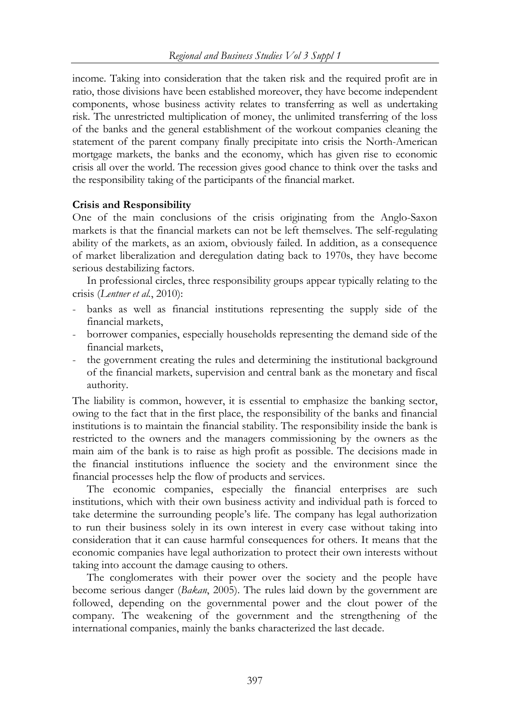income. Taking into consideration that the taken risk and the required profit are in ratio, those divisions have been established moreover, they have become independent components, whose business activity relates to transferring as well as undertaking risk. The unrestricted multiplication of money, the unlimited transferring of the loss of the banks and the general establishment of the workout companies cleaning the statement of the parent company finally precipitate into crisis the North-American mortgage markets, the banks and the economy, which has given rise to economic crisis all over the world. The recession gives good chance to think over the tasks and the responsibility taking of the participants of the financial market.

### **Crisis and Responsibility**

One of the main conclusions of the crisis originating from the Anglo-Saxon markets is that the financial markets can not be left themselves. The self-regulating ability of the markets, as an axiom, obviously failed. In addition, as a consequence of market liberalization and deregulation dating back to 1970s, they have become serious destabilizing factors.

In professional circles, three responsibility groups appear typically relating to the crisis (*Lentner et al.*, 2010):

- banks as well as financial institutions representing the supply side of the financial markets,
- borrower companies, especially households representing the demand side of the financial markets,
- the government creating the rules and determining the institutional background of the financial markets, supervision and central bank as the monetary and fiscal authority.

The liability is common, however, it is essential to emphasize the banking sector, owing to the fact that in the first place, the responsibility of the banks and financial institutions is to maintain the financial stability. The responsibility inside the bank is restricted to the owners and the managers commissioning by the owners as the main aim of the bank is to raise as high profit as possible. The decisions made in the financial institutions influence the society and the environment since the financial processes help the flow of products and services.

The economic companies, especially the financial enterprises are such institutions, which with their own business activity and individual path is forced to take determine the surrounding people's life. The company has legal authorization to run their business solely in its own interest in every case without taking into consideration that it can cause harmful consequences for others. It means that the economic companies have legal authorization to protect their own interests without taking into account the damage causing to others.

The conglomerates with their power over the society and the people have become serious danger (*Bakan*, 2005). The rules laid down by the government are followed, depending on the governmental power and the clout power of the company. The weakening of the government and the strengthening of the international companies, mainly the banks characterized the last decade.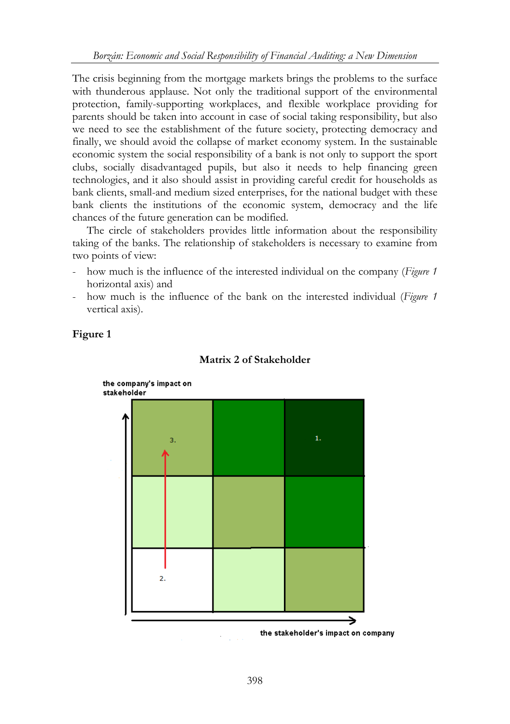The crisis beginning from the mortgage markets brings the problems to the surface with thunderous applause. Not only the traditional support of the environmental protection, family-supporting workplaces, and flexible workplace providing for parents should be taken into account in case of social taking responsibility, but also we need to see the establishment of the future society, protecting democracy and finally, we should avoid the collapse of market economy system. In the sustainable economic system the social responsibility of a bank is not only to support the sport clubs, socially disadvantaged pupils, but also it needs to help financing green technologies, and it also should assist in providing careful credit for households as bank clients, small-and medium sized enterprises, for the national budget with these bank clients the institutions of the economic system, democracy and the life chances of the future generation can be modified.

The circle of stakeholders provides little information about the responsibility taking of the banks. The relationship of stakeholders is necessary to examine from two points of view:

- how much is the influence of the interested individual on the company (*Figure 1* horizontal axis) and
- how much is the influence of the bank on the interested individual (*Figure 1* vertical axis).



#### **Matrix 2 of Stakeholder**

**Figure 1** 

the stakeholder's impact on company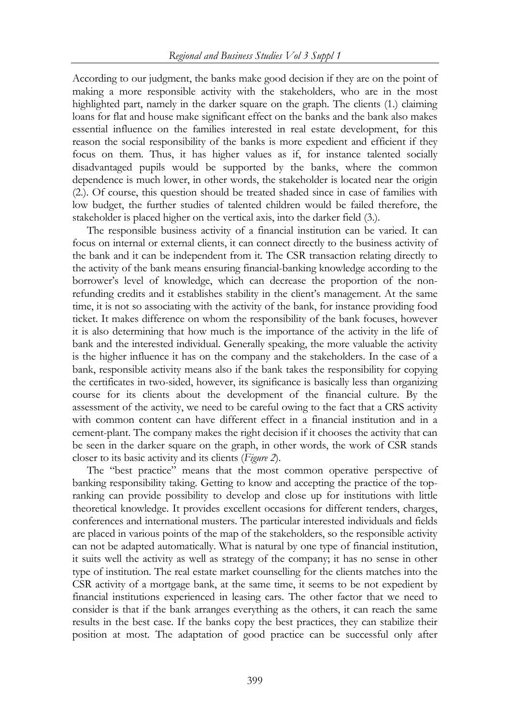According to our judgment, the banks make good decision if they are on the point of making a more responsible activity with the stakeholders, who are in the most highlighted part, namely in the darker square on the graph. The clients (1.) claiming loans for flat and house make significant effect on the banks and the bank also makes essential influence on the families interested in real estate development, for this reason the social responsibility of the banks is more expedient and efficient if they focus on them. Thus, it has higher values as if, for instance talented socially disadvantaged pupils would be supported by the banks, where the common dependence is much lower, in other words, the stakeholder is located near the origin (2.). Of course, this question should be treated shaded since in case of families with low budget, the further studies of talented children would be failed therefore, the stakeholder is placed higher on the vertical axis, into the darker field (3.).

The responsible business activity of a financial institution can be varied. It can focus on internal or external clients, it can connect directly to the business activity of the bank and it can be independent from it. The CSR transaction relating directly to the activity of the bank means ensuring financial-banking knowledge according to the borrower's level of knowledge, which can decrease the proportion of the nonrefunding credits and it establishes stability in the client's management. At the same time, it is not so associating with the activity of the bank, for instance providing food ticket. It makes difference on whom the responsibility of the bank focuses, however it is also determining that how much is the importance of the activity in the life of bank and the interested individual. Generally speaking, the more valuable the activity is the higher influence it has on the company and the stakeholders. In the case of a bank, responsible activity means also if the bank takes the responsibility for copying the certificates in two-sided, however, its significance is basically less than organizing course for its clients about the development of the financial culture. By the assessment of the activity, we need to be careful owing to the fact that a CRS activity with common content can have different effect in a financial institution and in a cement-plant. The company makes the right decision if it chooses the activity that can be seen in the darker square on the graph, in other words, the work of CSR stands closer to its basic activity and its clients (*Figure 2*).

The "best practice" means that the most common operative perspective of banking responsibility taking. Getting to know and accepting the practice of the topranking can provide possibility to develop and close up for institutions with little theoretical knowledge. It provides excellent occasions for different tenders, charges, conferences and international musters. The particular interested individuals and fields are placed in various points of the map of the stakeholders, so the responsible activity can not be adapted automatically. What is natural by one type of financial institution, it suits well the activity as well as strategy of the company; it has no sense in other type of institution. The real estate market counselling for the clients matches into the CSR activity of a mortgage bank, at the same time, it seems to be not expedient by financial institutions experienced in leasing cars. The other factor that we need to consider is that if the bank arranges everything as the others, it can reach the same results in the best case. If the banks copy the best practices, they can stabilize their position at most. The adaptation of good practice can be successful only after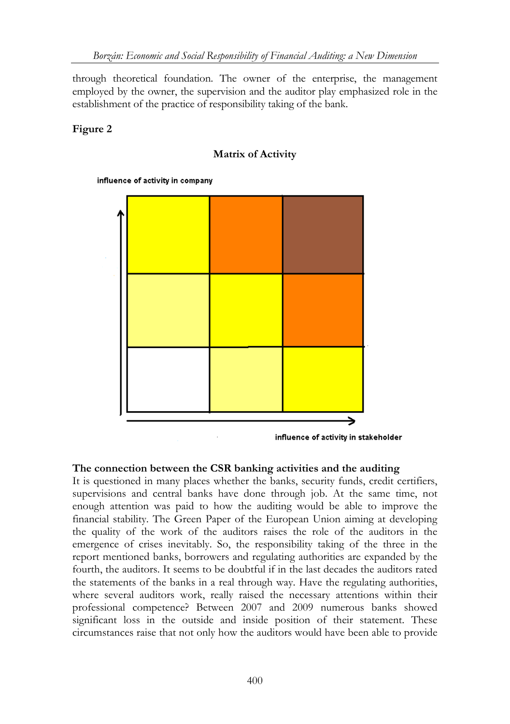through theoretical foundation. The owner of the enterprise, the management employed by the owner, the supervision and the auditor play emphasized role in the establishment of the practice of responsibility taking of the bank.

### **Figure 2**

### **Matrix of Activity**

influence of activity in company



### **The connection between the CSR banking activities and the auditing**

It is questioned in many places whether the banks, security funds, credit certifiers, supervisions and central banks have done through job. At the same time, not enough attention was paid to how the auditing would be able to improve the financial stability. The Green Paper of the European Union aiming at developing the quality of the work of the auditors raises the role of the auditors in the emergence of crises inevitably. So, the responsibility taking of the three in the report mentioned banks, borrowers and regulating authorities are expanded by the fourth, the auditors. It seems to be doubtful if in the last decades the auditors rated the statements of the banks in a real through way. Have the regulating authorities, where several auditors work, really raised the necessary attentions within their professional competence? Between 2007 and 2009 numerous banks showed significant loss in the outside and inside position of their statement. These circumstances raise that not only how the auditors would have been able to provide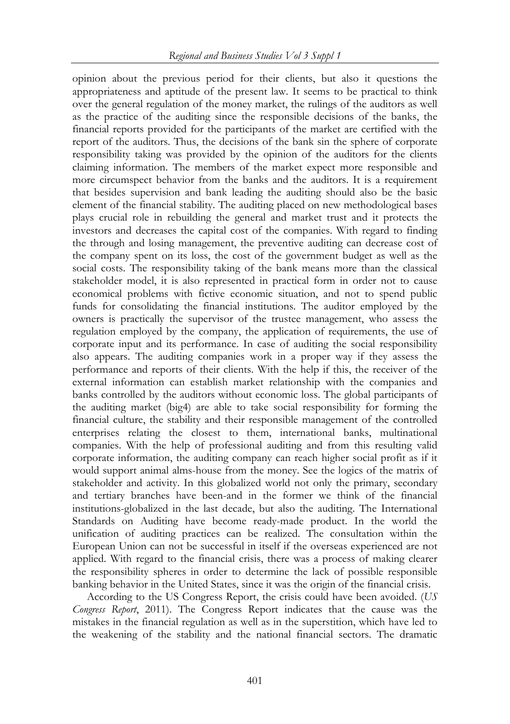opinion about the previous period for their clients, but also it questions the appropriateness and aptitude of the present law. It seems to be practical to think over the general regulation of the money market, the rulings of the auditors as well as the practice of the auditing since the responsible decisions of the banks, the financial reports provided for the participants of the market are certified with the report of the auditors. Thus, the decisions of the bank sin the sphere of corporate responsibility taking was provided by the opinion of the auditors for the clients claiming information. The members of the market expect more responsible and more circumspect behavior from the banks and the auditors. It is a requirement that besides supervision and bank leading the auditing should also be the basic element of the financial stability. The auditing placed on new methodological bases plays crucial role in rebuilding the general and market trust and it protects the investors and decreases the capital cost of the companies. With regard to finding the through and losing management, the preventive auditing can decrease cost of the company spent on its loss, the cost of the government budget as well as the social costs. The responsibility taking of the bank means more than the classical stakeholder model, it is also represented in practical form in order not to cause economical problems with fictive economic situation, and not to spend public funds for consolidating the financial institutions. The auditor employed by the owners is practically the supervisor of the trustee management, who assess the regulation employed by the company, the application of requirements, the use of corporate input and its performance. In case of auditing the social responsibility also appears. The auditing companies work in a proper way if they assess the performance and reports of their clients. With the help if this, the receiver of the external information can establish market relationship with the companies and banks controlled by the auditors without economic loss. The global participants of the auditing market (big4) are able to take social responsibility for forming the financial culture, the stability and their responsible management of the controlled enterprises relating the closest to them, international banks, multinational companies. With the help of professional auditing and from this resulting valid corporate information, the auditing company can reach higher social profit as if it would support animal alms-house from the money. See the logics of the matrix of stakeholder and activity. In this globalized world not only the primary, secondary and tertiary branches have been-and in the former we think of the financial institutions-globalized in the last decade, but also the auditing. The International Standards on Auditing have become ready-made product. In the world the unification of auditing practices can be realized. The consultation within the European Union can not be successful in itself if the overseas experienced are not applied. With regard to the financial crisis, there was a process of making clearer the responsibility spheres in order to determine the lack of possible responsible banking behavior in the United States, since it was the origin of the financial crisis.

According to the US Congress Report, the crisis could have been avoided. (*US Congress Report*, 2011). The Congress Report indicates that the cause was the mistakes in the financial regulation as well as in the superstition, which have led to the weakening of the stability and the national financial sectors. The dramatic